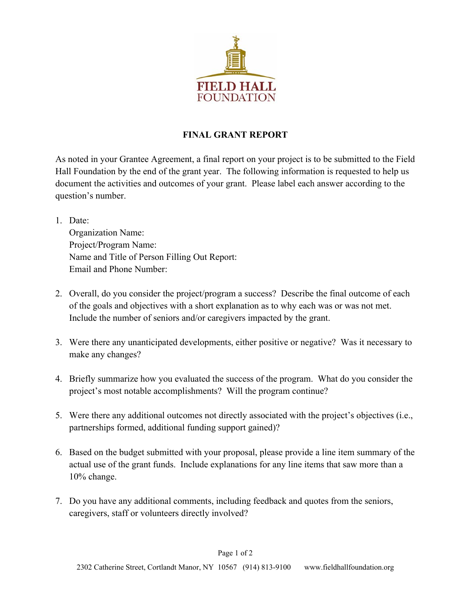

## **FINAL GRANT REPORT**

As noted in your Grantee Agreement, a final report on your project is to be submitted to the Field Hall Foundation by the end of the grant year. The following information is requested to help us document the activities and outcomes of your grant. Please label each answer according to the question's number.

- 1. Date: Organization Name: Project/Program Name: Name and Title of Person Filling Out Report: Email and Phone Number:
- 2. Overall, do you consider the project/program a success? Describe the final outcome of each of the goals and objectives with a short explanation as to why each was or was not met. Include the number of seniors and/or caregivers impacted by the grant.
- 3. Were there any unanticipated developments, either positive or negative? Was it necessary to make any changes?
- 4. Briefly summarize how you evaluated the success of the program. What do you consider the project's most notable accomplishments? Will the program continue?
- 5. Were there any additional outcomes not directly associated with the project's objectives (i.e., partnerships formed, additional funding support gained)?
- 6. Based on the budget submitted with your proposal, please provide a line item summary of the actual use of the grant funds. Include explanations for any line items that saw more than a 10% change.
- 7. Do you have any additional comments, including feedback and quotes from the seniors, caregivers, staff or volunteers directly involved?